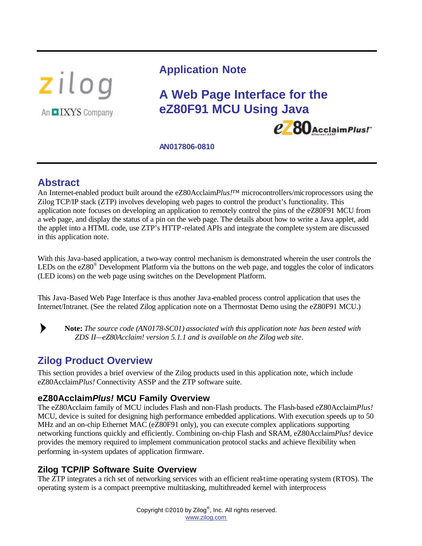

## **Application Note**

## **A Web Page Interface for the eZ80F91 MCU Using Java**



**AN017806-0810**

## **Abstract**

An Internet-enabled product built around the eZ80Acclaim*Plus!*<sup>™</sup> microcontrollers/microprocessors using the Zilog TCP/IP stack (ZTP) involves developing web pages to control the product's functionality. This application note focuses on developing an application to remotely control the pins of the eZ80F91 MCU from a web page, and display the status of a pin on the web page. The details about how to write a Java applet, add the applet into a HTML code, use ZTP's HTTP-related APIs and integrate the complete system are discussed in this application note.

With this Java-based application, a two-way control mechanism is demonstrated wherein the user controls the LEDs on the eZ80<sup>®</sup> Development Platform via the buttons on the web page, and toggles the color of indicators (LED icons) on the web page using switches on the Development Platform.

This Java-Based Web Page Interface is thus another Java-enabled process control application that uses the Internet/Intranet. (See the related Zilog application note on a Thermostat Demo using the eZ80F91 MCU.)

 $\blacktriangleright$ 

**Note:** *The source code (AN0178-SC01) associated with this application note has been tested with ZDS II—eZ80Acclaim! version 5.1.1 and is available on the Zilog web site.*

## **Zilog Product Overview**

This section provides a brief overview of the Zilog products used in this application note, which include eZ80Acclaim*Plus!* Connectivity ASSP and the ZTP software suite.

### **eZ80Acclaim***Plus!* **MCU Family Overview**

The eZ80Acclaim family of MCU includes Flash and non-Flash products. The Flash-based eZ80Acclaim*Plus!* MCU, device is suited for designing high performance embedded applications. With execution speeds up to 50 MHz and an on-chip Ethernet MAC (eZ80F91 only), you can execute complex applications supporting networking functions quickly and efficiently. Combining on-chip Flash and SRAM, eZ80Acclaim*Plus!* device provides the memory required to implement communication protocol stacks and achieve flexibility when performing in-system updates of application firmware.

## **Zilog TCP/IP Software Suite Overview**

The ZTP integrates a rich set of networking services with an efficient real-time operating system (RTOS). The operating system is a compact preemptive multitasking, multithreaded kernel with interprocess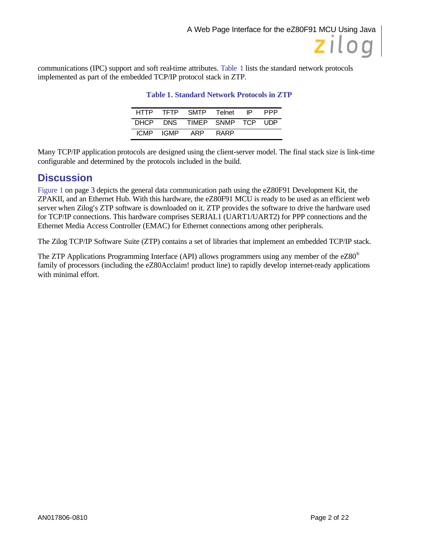communications (IPC) support and soft real-time attributes. Table 1 lists the standard network protocols implemented as part of the embedded TCP/IP protocol stack in ZTP.

| HTTP        |       | TFTP SMTP          | Telnet | IP. | PPP   |
|-------------|-------|--------------------|--------|-----|-------|
| DHCP        |       | DNS TIMEP SNMP TCP |        |     | . UDP |
| <b>ICMP</b> | IGMP. | ARP                | RARP   |     |       |

#### **Table 1. Standard Network Protocols in ZTP**

Many TCP/IP application protocols are designed using the client-server model. The final stack size is link-time configurable and determined by the protocols included in the build.

## **Discussion**

Figure 1 on page 3 depicts the general data communication path using the eZ80F91 Development Kit, the ZPAKII, and an Ethernet Hub. With this hardware, the eZ80F91 MCU is ready to be used as an efficient web server when Zilog's ZTP software is downloaded on it. ZTP provides the software to drive the hardware used for TCP/IP connections. This hardware comprises SERIAL1 (UART1/UART2) for PPP connections and the Ethernet Media Access Controller (EMAC) for Ethernet connections among other peripherals.

The Zilog TCP/IP Software Suite (ZTP) contains a set of libraries that implement an embedded TCP/IP stack.

The ZTP Applications Programming Interface (API) allows programmers using any member of the  $eZ80^\circ$ family of processors (including the eZ80Acclaim! product line) to rapidly develop internet-ready applications with minimal effort.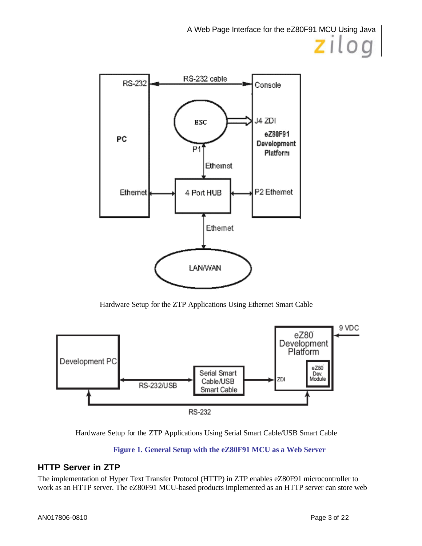

Hardware Setup for the ZTP Applications Using Ethernet Smart Cable





#### **Figure 1. General Setup with the eZ80F91 MCU as a Web Server**

### **HTTP Server in ZTP**

The implementation of Hyper Text Transfer Protocol (HTTP) in ZTP enables eZ80F91 microcontroller to work as an HTTP server. The eZ80F91 MCU-based products implemented as an HTTP server can store web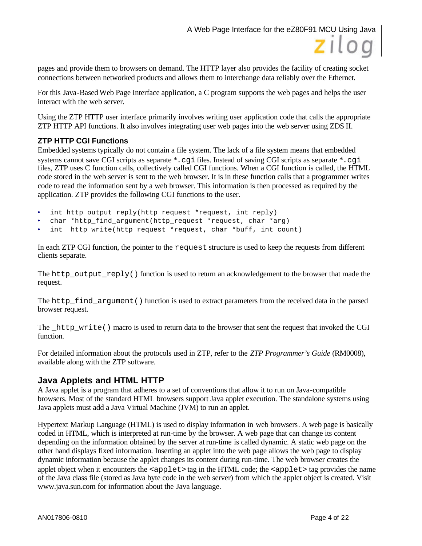

pages and provide them to browsers on demand. The HTTP layer also provides the facility of creating socket connections between networked products and allows them to interchange data reliably over the Ethernet.

For this Java-Based Web Page Interface application, a C program supports the web pages and helps the user interact with the web server.

Using the ZTP HTTP user interface primarily involves writing user application code that calls the appropriate ZTP HTTP API functions. It also involves integrating user web pages into the web server using ZDS II.

#### **ZTP HTTP CGI Functions**

Embedded systems typically do not contain a file system. The lack of a file system means that embedded systems cannot save CGI scripts as separate \*. cqi files. Instead of saving CGI scripts as separate \*. cqi files, ZTP uses C function calls, collectively called CGI functions. When a CGI function is called, the HTML code stored in the web server is sent to the web browser. It is in these function calls that a programmer writes code to read the information sent by a web browser. This information is then processed as required by the application. ZTP provides the following CGI functions to the user.

- int http\_output\_reply(http\_request \*request, int reply)
- char \*http\_find\_argument(http\_request \*request, char \*arg)
- int http write(http request \*request, char \*buff, int count)

In each ZTP CGI function, the pointer to the request structure is used to keep the requests from different clients separate.

The http\_output\_reply() function is used to return an acknowledgement to the browser that made the request.

The http find argument () function is used to extract parameters from the received data in the parsed browser request.

The http write() macro is used to return data to the browser that sent the request that invoked the CGI function.

For detailed information about the protocols used in ZTP, refer to the *ZTP Programmer's Guide* (RM0008), available along with the ZTP software.

#### **Java Applets and HTML HTTP**

A Java applet is a program that adheres to a set of conventions that allow it to run on Java-compatible browsers. Most of the standard HTML browsers support Java applet execution. The standalone systems using Java applets must add a Java Virtual Machine (JVM) to run an applet.

Hypertext Markup Language (HTML) is used to display information in web browsers. A web page is basically coded in HTML, which is interpreted at run-time by the browser. A web page that can change its content depending on the information obtained by the server at run-time is called dynamic. A static web page on the other hand displays fixed information. Inserting an applet into the web page allows the web page to display dynamic information because the applet changes its content during run-time. The web browser creates the applet object when it encounters the  $\langle \text{applet} \rangle$  tag in the HTML code; the  $\langle \text{applet} \rangle$  tag provides the name of the Java class file (stored as Java byte code in the web server) from which the applet object is created. Visit www.java.sun.com for information about the Java language.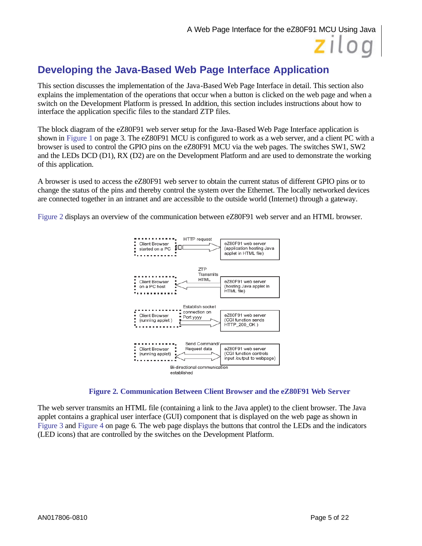## **Developing the Java-Based Web Page Interface Application**

This section discusses the implementation of the Java-Based Web Page Interface in detail. This section also explains the implementation of the operations that occur when a button is clicked on the web page and when a switch on the Development Platform is pressed. In addition, this section includes instructions about how to interface the application specific files to the standard ZTP files.

The block diagram of the eZ80F91 web server setup for the Java-Based Web Page Interface application is shown in Figure 1 on page 3. The eZ80F91 MCU is configured to work as a web server, and a client PC with a browser is used to control the GPIO pins on the eZ80F91 MCU via the web pages. The switches SW1, SW2 and the LEDs DCD (D1), RX (D2) are on the Development Platform and are used to demonstrate the working of this application.

A browser is used to access the eZ80F91 web server to obtain the current status of different GPIO pins or to change the status of the pins and thereby control the system over the Ethernet. The locally networked devices are connected together in an intranet and are accessible to the outside world (Internet) through a gateway.

Figure 2 displays an overview of the communication between eZ80F91 web server and an HTML browser.



**Figure 2. Communication Between Client Browser and the eZ80F91 Web Server**

The web server transmits an HTML file (containing a link to the Java applet) to the client browser. The Java applet contains a graphical user interface (GUI) component that is displayed on the web page as shown in Figure 3 and Figure 4 on page 6. The web page displays the buttons that control the LEDs and the indicators (LED icons) that are controlled by the switches on the Development Platform.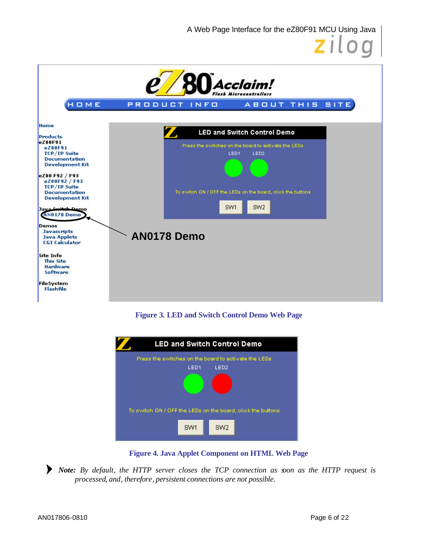A Web Page Interface for the eZ80F91 MCU Using Java



**Figure 3. LED and Switch Control Demo Web Page**



**Figure 4. Java Applet Component on HTML Web Page**

*Note: By default, the HTTP server closes the TCP connection as soon as the HTTP request is* ▶ *processed, and, therefore, persistent connections are not possible.*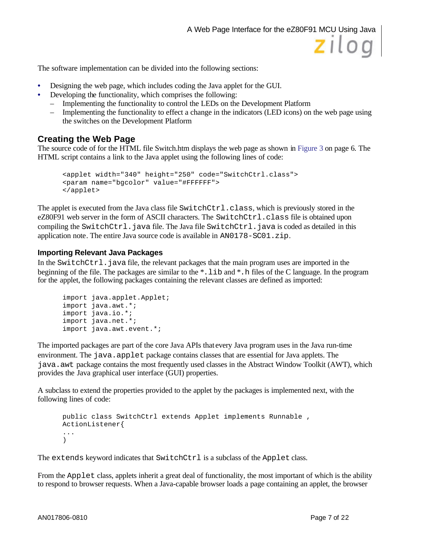The software implementation can be divided into the following sections:

- Designing the web page, which includes coding the Java applet for the GUI.
- Developing the functionality, which comprises the following:
	- Implementing the functionality to control the LEDs on the Development Platform
	- Implementing the functionality to effect a change in the indicators (LED icons) on the web page using the switches on the Development Platform

#### **Creating the Web Page**

The source code of for the HTML file Switch.htm displays the web page as shown in Figure 3 on page 6. The HTML script contains a link to the Java applet using the following lines of code:

```
<applet width="340" height="250" code="SwitchCtrl.class">
<param name="bgcolor" value="#FFFFFF">
</applet>
```
The applet is executed from the Java class file SwitchCtrl.class, which is previously stored in the eZ80F91 web server in the form of ASCII characters. The SwitchCtrl.class file is obtained upon compiling the SwitchCtrl.java file. The Java file SwitchCtrl.java is coded as detailed in this application note. The entire Java source code is available in AN0178-SC01.zip.

#### **Importing Relevant Java Packages**

In the SwitchCtrl. java file, the relevant packages that the main program uses are imported in the beginning of the file. The packages are similar to the \*.lib and \*.h files of the C language. In the program for the applet, the following packages containing the relevant classes are defined as imported:

```
import java.applet.Applet;
import java.awt.*;
import java.io.*;
import java.net.*;
import java.awt.event.*;
```
The imported packages are part of the core Java APIs that every Java program uses in the Java run-time environment. The java.applet package contains classes that are essential for Java applets. The java.awt package contains the most frequently used classes in the Abstract Window Toolkit (AWT), which provides the Java graphical user interface (GUI) properties.

A subclass to extend the properties provided to the applet by the packages is implemented next, with the following lines of code:

```
public class SwitchCtrl extends Applet implements Runnable ,
ActionListener{
...
)
```
The extends keyword indicates that SwitchCtrl is a subclass of the Applet class.

From the Applet class, applets inherit a great deal of functionality, the most important of which is the ability to respond to browser requests. When a Java-capable browser loads a page containing an applet, the browser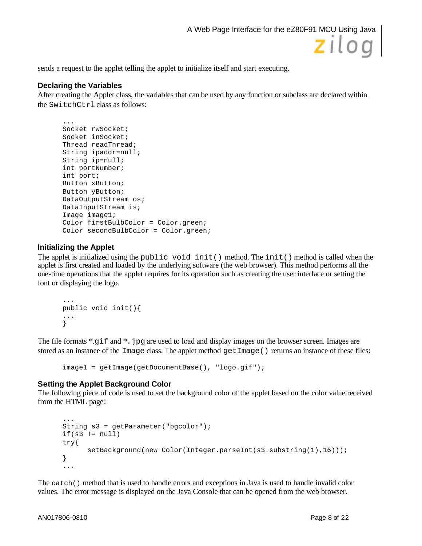

sends a request to the applet telling the applet to initialize itself and start executing.

#### **Declaring the Variables**

After creating the Applet class, the variables that can be used by any function or subclass are declared within the SwitchCtrl class as follows:

```
...
Socket rwSocket;
Socket inSocket;
Thread readThread;
String ipaddr=null;
String ip=null;
int portNumber;
int port;
Button xButton;
Button yButton;
DataOutputStream os;
DataInputStream is;
Image image1;
Color firstBulbColor = Color.green;
Color secondBulbColor = Color.green;
```
#### **Initializing the Applet**

The applet is initialized using the public void init() method. The init() method is called when the applet is first created and loaded by the underlying software (the web browser). This method performs all the one-time operations that the applet requires for its operation such as creating the user interface or setting the font or displaying the logo.

```
...
public void init(){
...
}
```
The file formats \*.gif and \*.jpg are used to load and display images on the browser screen. Images are stored as an instance of the Image class. The applet method getImage() returns an instance of these files:

```
image1 = getImage(getDocumentBase(), "logo.gif");
```
#### **Setting the Applet Background Color**

The following piece of code is used to set the background color of the applet based on the color value received from the HTML page:

```
...
String s3 = getParameter("bgcolor");
if(s3 != null)try{
      setBackground(new Color(Integer.parseInt(s3.substring(1),16)));
}
...
```
The catch() method that is used to handle errors and exceptions in Java is used to handle invalid color values. The error message is displayed on the Java Console that can be opened from the web browser.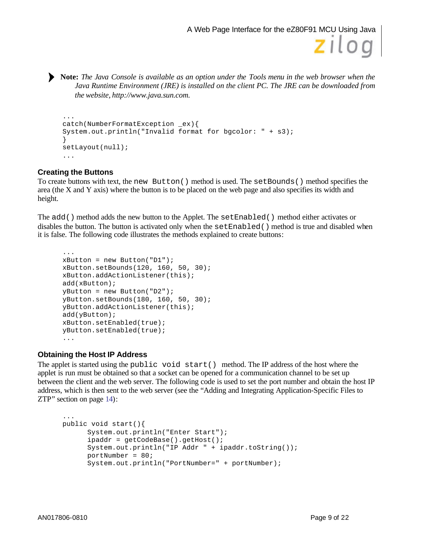**Note:** *The Java Console is available as an option under the Tools menu in the web browser when the Java Runtime Environment (JRE) is installed on the client PC. The JRE can be downloaded from the website, http://www.java.sun.com.*

```
...
catch(NumberFormatException _ex){
System.out.println("Invalid format for bgcolor: " + s3);
}
setLayout(null);
...
```
#### **Creating the Buttons**

To create buttons with text, the new Button() method is used. The setBounds() method specifies the area (the X and Y axis) where the button is to be placed on the web page and also specifies its width and height.

The add() method adds the new button to the Applet. The setEnabled() method either activates or disables the button. The button is activated only when the setEnabled() method is true and disabled when it is false. The following code illustrates the methods explained to create buttons:

```
...
xButton = new Button("D1");xButton.setBounds(120, 160, 50, 30);
xButton.addActionListener(this);
add(xButton);
yButton = new Button("D2");
yButton.setBounds(180, 160, 50, 30);
yButton.addActionListener(this);
add(yButton);
xButton.setEnabled(true);
yButton.setEnabled(true);
...
```
#### **Obtaining the Host IP Address**

The applet is started using the public void start() method. The IP address of the host where the applet is run must be obtained so that a socket can be opened for a communication channel to be set up between the client and the web server. The following code is used to set the port number and obtain the host IP address, which is then sent to the web server (see the "Adding and Integrating Application-Specific Files to ZTP" section on page 14):

```
...
public void start(){
      System.out.println("Enter Start");
      ipaddr = getCodeBase().getHost();
      System.out.println("IP Addr " + ipaddr.toString());
      portNumber = 80;
      System.out.println("PortNumber=" + portNumber);
```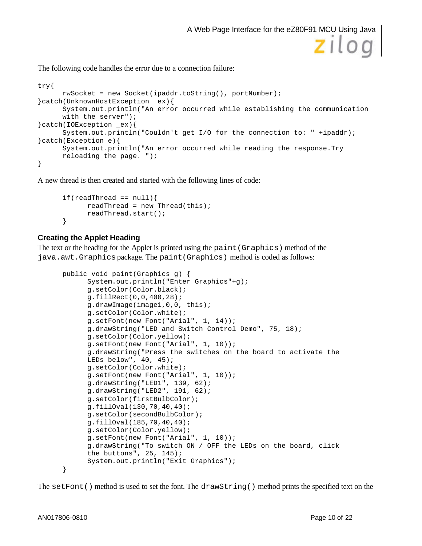

```
try{
      rwSocket = new Socket(ipaddr.toString(), portNumber);
}catch(UnknownHostException _ex){
      System.out.println("An error occurred while establishing the communication 
     with the server");
}catch(IOException _ex){
      System.out.println("Couldn't get I/O for the connection to: " +ipaddr);
}catch(Exception e){
      System.out.println("An error occurred while reading the response.Try 
     reloading the page. ");
}
```
A new thread is then created and started with the following lines of code:

```
if(readThread == null)readThread = new Thread(this);
     readThread.start();
}
```
#### **Creating the Applet Heading**

The text or the heading for the Applet is printed using the paint(Graphics) method of the java.awt.Graphics package. The paint(Graphics) method is coded as follows:

```
public void paint(Graphics g) {
      System.out.println("Enter Graphics"+g);
      g.setColor(Color.black);
      g.fillRect(0,0,400,28);
      g.drawImage(image1,0,0, this);
      g.setColor(Color.white);
      g.setFont(new Font("Arial", 1, 14));
      g.drawString("LED and Switch Control Demo", 75, 18);
      g.setColor(Color.yellow);
      g.setFont(new Font("Arial", 1, 10));
      g.drawString("Press the switches on the board to activate the
      LEDs below", 40, 45);
      g.setColor(Color.white);
     g.setFont(new Font("Arial", 1, 10));
      g.drawString("LED1", 139, 62);
      g.drawString("LED2", 191, 62);
      g.setColor(firstBulbColor);
      g.fillOval(130,70,40,40);
      g.setColor(secondBulbColor);
      g.fillOval(185,70,40,40);
     g.setColor(Color.yellow);
      g.setFont(new Font("Arial", 1, 10));
      g.drawString("To switch ON / OFF the LEDs on the board, click
      the buttons", 25, 145);
      System.out.println("Exit Graphics");
}
```
The setFont() method is used to set the font. The drawString() method prints the specified text on the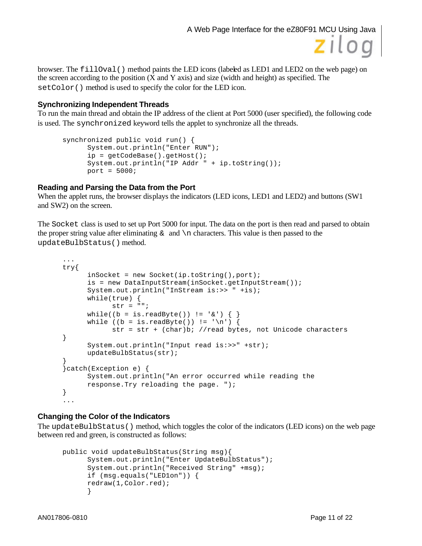

browser. The filloval() method paints the LED icons (labeled as LED1 and LED2 on the web page) on the screen according to the position  $(X \text{ and } Y \text{ axis})$  and size (width and height) as specified. The set Color() method is used to specify the color for the LED icon.

#### **Synchronizing Independent Threads**

To run the main thread and obtain the IP address of the client at Port 5000 (user specified), the following code is used. The synchronized keyword tells the applet to synchronize all the threads.

```
synchronized public void run() {
      System.out.println("Enter RUN");
      ip = getCodeBase().getHost();
      System.out.println("IP Addr " + ip.toString());
     port = 5000;
```
#### **Reading and Parsing the Data from the Port**

When the applet runs, the browser displays the indicators (LED icons, LED1 and LED2) and buttons (SW1 and SW2) on the screen.

The Socket class is used to set up Port 5000 for input. The data on the port is then read and parsed to obtain the proper string value after eliminating  $\&$  and  $\n\alpha$  characters. This value is then passed to the updateBulbStatus() method.

```
...
try{
      inSocket = new Socket(ip.toString(),port);
      is = new DataInputStream(inSocket.getInputStream());
      System.out.println("InStream is:>> " +is);
      while(true) {
            str = " "while((b = is.readByte()) != '& ) { }
      while ((b = is.readByte()) != '\n|
            str = str + (char)b; //read bytes, not Unicode characters
}
      System.out.println("Input read is:>>" +str);
      updateBulbStatus(str);
}
}catch(Exception e) {
      System.out.println("An error occurred while reading the
      response.Try reloading the page. ");
}
...
```
#### **Changing the Color of the Indicators**

The updateBulbStatus() method, which toggles the color of the indicators (LED icons) on the web page between red and green, is constructed as follows:

```
public void updateBulbStatus(String msg){
      System.out.println("Enter UpdateBulbStatus");
      System.out.println("Received String" +msg);
      if (msg.equals("LED1on")) {
      redraw(1,Color.red);
      }
```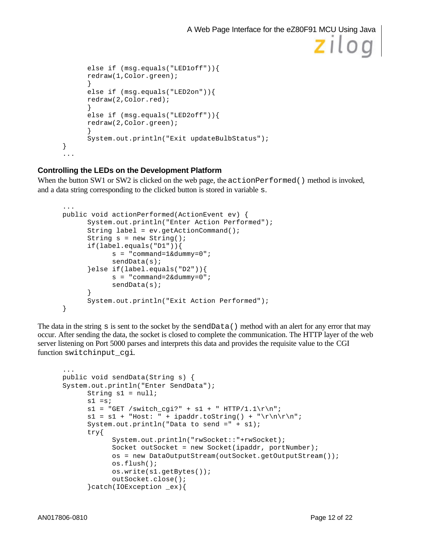```
else if (msg.equals("LED1off")){
      redraw(1,Color.green);
      }
      else if (msg.equals("LED2on")){
      redraw(2,Color.red);
      }
      else if (msg.equals("LED2off")){
      redraw(2,Color.green);
      }
      System.out.println("Exit updateBulbStatus");
}
...
```
#### **Controlling the LEDs on the Development Platform**

When the button SW1 or SW2 is clicked on the web page, the  $\alpha$ -ctionPerformed() method is invoked, and a data string corresponding to the clicked button is stored in variable s.

```
...
public void actionPerformed(ActionEvent ev) {
      System.out.println("Enter Action Performed");
      String label = ev.getActionCommand();
      String s = new String();
      if(label.equals("D1")){
            s = "command=1&dummy=0";sendData(s);
      }else if(label.equals("D2")){
            s = "command=2&dummy=0";sendData(s);
      }
      System.out.println("Exit Action Performed");
}
```
The data in the string s is sent to the socket by the sendData() method with an alert for any error that may occur. After sending the data, the socket is closed to complete the communication. The HTTP layer of the web server listening on Port 5000 parses and interprets this data and provides the requisite value to the CGI function switchinput\_cgi.

```
...
public void sendData(String s) {
System.out.println("Enter SendData");
       String s1 = null;
      s1 = s;s1 = "GET /switch_cgi?" + s1 + " HTTP/1.1\rr\n"s1 = s1 + "Host: " + ipaddr.toString() + "\r\nr\nr\n''; System.out.println("Data to send =" + s1);
       try{
             System.out.println("rwSocket::"+rwSocket);
            Socket outSocket = new Socket(ipaddr, portNumber);
             os = new DataOutputStream(outSocket.getOutputStream());
             os.flush();
             os.write(s1.getBytes());
             outSocket.close();
       }catch(IOException _ex){
```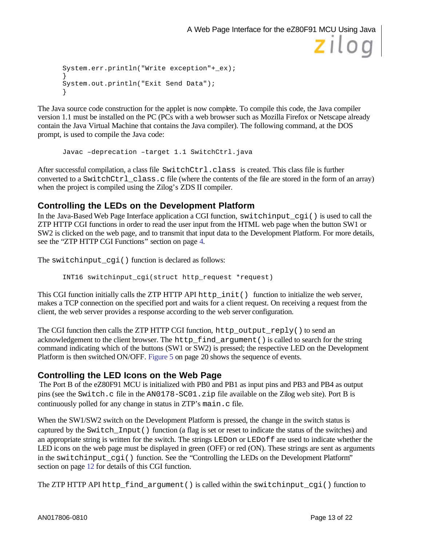```
System.err.println("Write exception"+_ex);
}
System.out.println("Exit Send Data");
}
```
The Java source code construction for the applet is now complete. To compile this code, the Java compiler version 1.1 must be installed on the PC (PCs with a web browser such as Mozilla Firefox or Netscape already contain the Java Virtual Machine that contains the Java compiler). The following command, at the DOS prompt, is used to compile the Java code:

Javac –deprecation –target 1.1 SwitchCtrl.java

After successful compilation, a class file SwitchCtrl.class is created. This class file is further converted to a SwitchCtrl\_class.c file (where the contents of the file are stored in the form of an array) when the project is compiled using the Zilog's ZDS II compiler.

#### **Controlling the LEDs on the Development Platform**

In the Java-Based Web Page Interface application a CGI function, switchinput\_cgi() is used to call the ZTP HTTP CGI functions in order to read the user input from the HTML web page when the button SW1 or SW2 is clicked on the web page, and to transmit that input data to the Development Platform. For more details, see the "ZTP HTTP CGI Functions" section on page 4.

The switchinput\_cgi() function is declared as follows:

INT16 switchinput\_cgi(struct http\_request \*request)

This CGI function initially calls the ZTP HTTP API http  $\text{init}$  () function to initialize the web server, makes a TCP connection on the specified port and waits for a client request. On receiving a request from the client, the web server provides a response according to the web server configuration.

The CGI function then calls the ZTP HTTP CGI function, http\_output\_reply() to send an acknowledgement to the client browser. The http find argument () is called to search for the string command indicating which of the buttons (SW1 or SW2) is pressed; the respective LED on the Development Platform is then switched ON/OFF. Figure 5 on page 20 shows the sequence of events.

#### **Controlling the LED Icons on the Web Page**

The Port B of the eZ80F91 MCU is initialized with PB0 and PB1 as input pins and PB3 and PB4 as output pins (see the Switch.c file in the AN0178-SC01.zip file available on the Zilog web site). Port B is continuously polled for any change in status in ZTP's main.c file.

When the SW1/SW2 switch on the Development Platform is pressed, the change in the switch status is captured by the Switch\_Input() function (a flag is set or reset to indicate the status of the switches) and an appropriate string is written for the switch. The strings LEDon or LEDoff are used to indicate whether the LED icons on the web page must be displayed in green (OFF) or red (ON). These strings are sent as arguments in the switchinput\_cgi() function. See the "Controlling the LEDs on the Development Platform" section on page 12 for details of this CGI function.

The ZTP HTTP API http\_find\_argument() is called within the switchinput\_cgi() function to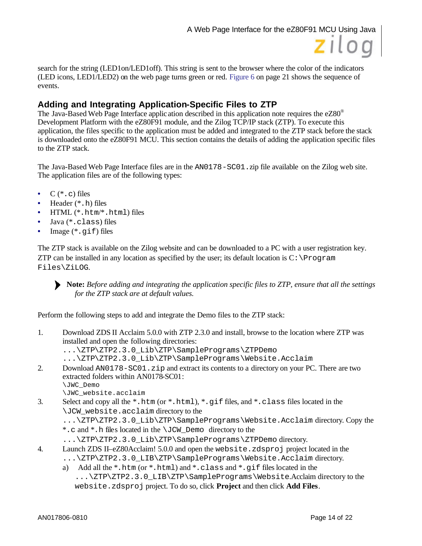

search for the string (LED1on/LED1off). This string is sent to the browser where the color of the indicators (LED icons, LED1/LED2) on the web page turns green or red. Figure 6 on page 21 shows the sequence of events.

## **Adding and Integrating Application-Specific Files to ZTP**

The Java-Based Web Page Interface applic ation described in this application note requires the eZ80<sup>®</sup> Development Platform with the eZ80F91 module, and the Zilog TCP/IP stack (ZTP). To execute this application, the files specific to the application must be added and integrated to the ZTP stack before the stack is downloaded onto the eZ80F91 MCU. This section contains the details of adding the application specific files to the ZTP stack.

The Java-Based Web Page Interface files are in the AN0178-SC01.zip file available on the Zilog web site. The application files are of the following types:

- $C (* . c)$  files
- Header (\*.h) files
- HTML (\*.htm/\*.html) files
- Java (\*.class) files
- Image  $(*.gif)$  files

The ZTP stack is available on the Zilog website and can be downloaded to a PC with a user registration key. ZTP can be installed in any location as specified by the user; its default location is  $C:\Per\gamma$ Files\ZiLOG.

**Note:** *Before adding and integrating the application specific files to ZTP, ensure that all the settings for the ZTP stack are at default values.*

Perform the following steps to add and integrate the Demo files to the ZTP stack:

- 1. Download ZDS II Acclaim 5.0.0 with ZTP 2.3.0 and install, browse to the location where ZTP was installed and open the following directories:
	- ...\ZTP\ZTP2.3.0 Lib\ZTP\SamplePrograms\ZTPDemo
	- ...\ZTP\ZTP2.3.0\_Lib\ZTP\SamplePrograms\Website.Acclaim
- 2. Download AN0178-SC01.zip and extract its contents to a directory on your PC. There are two extracted folders within AN0178-SC01:
	- \JWC\_Demo
	- \JWC\_website.acclaim
- 3. Select and copy all the \*.htm (or \*.html), \*.gif files, and \*.class files located in the \JCW\_website.acclaim directory to the
	- ...\ZTP\ZTP2.3.0\_Lib\ZTP\SamplePrograms\Website.Acclaim directory. Copy the \*.c and \*.h files located in the \JCW\_Demo directory to the
	- ...\ZTP\ZTP2.3.0\_Lib\ZTP\SamplePrograms\ZTPDemo directory.
- 4. Launch ZDS II–eZ80Acclaim! 5.0.0 and open the website.zdsproj project located in the ...\ZTP\ZTP2.3.0\_LIB\ZTP\SamplePrograms\Website.Acclaim directory.
	- a) Add all the \*.htm (or \*.html) and \*.class and \*.qif files located in the ...\ZTP\ZTP2.3.0\_LIB\ZTP\SamplePrograms\Website.Acclaim directory to the website.zdsproj project. To do so, click **Project** and then click **Add Files**.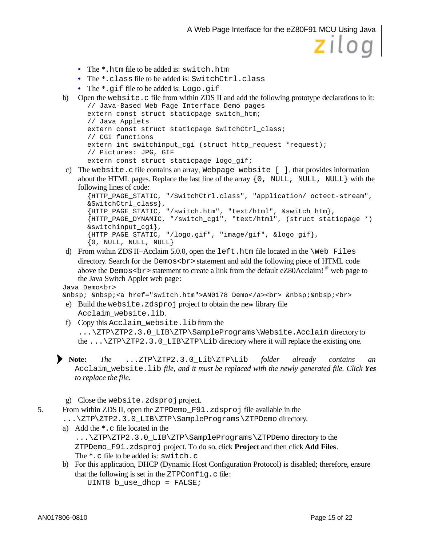- The \*.htm file to be added is: switch.htm
- The \*.class file to be added is: SwitchCtrl.class
- The \*.qif file to be added is: Logo.gif

```
b) Open the website.c file from within ZDS II and add the following prototype declarations to it: 
       // Java-Based Web Page Interface Demo pages
```

```
extern const struct staticpage switch_htm;
// Java Applets
extern const struct staticpage SwitchCtrl_class;
// CGI functions
extern int switchinput_cgi (struct http_request *request);
// Pictures: JPG, GIF
extern const struct staticpage logo_gif;
```
c) The website.c file contains an array, Webpage website [ ], that provides information about the HTML pages. Replace the last line of the array  $\{0, NULL, NULL\}$  with the following lines of code:

```
{HTTP_PAGE_STATIC, "/SwitchCtrl.class", "application/ octect-stream", 
&SwitchCtrl_class},
{HTTP_PAGE_STATIC, "/switch.htm", "text/html", &switch_htm},
{HTTP_PAGE_DYNAMIC, "/switch_cgi", "text/html", (struct staticpage *) 
&switchinput_cgi},
{HTTP_PAGE_STATIC, "/logo.gif", "image/gif", &logo_gif}, 
\{0, NULL, NULL, NULL\}
```
d) From within ZDS II–Acclaim 5.0.0, open the left.htm file located in the  $\W$ eb Files directory. Search for the Demos<br>ssatement and add the following piece of HTML code above the Demos <  $br$  > statement to create a link from the default eZ80Acclaim!  $^{\circ}$  web page to the Java Switch Applet web page:

Java Demo<br>

&nbsp; &nbsp;<a href="switch.htm">AN0178 Demo</a><br> &nbsp;&nbsp;<br>

- e) Build the website.zdsproj project to obtain the new library file Acclaim\_website.lib.
- f) Copy this Acclaim\_website.lib from the ...\ZTP\ZTP2.3.0 LIB\ZTP\SamplePrograms\Website.Acclaim directory to the  $\ldots$   $\ZTP\ZTP2.3.0_LIB\ZTP\Lib{directory where it will replace the existing one.$

**Note:** *The* ...ZTP\ZTP2.3.0\_Lib\ZTP\Lib *folder already contains an* Acclaim\_website.lib *file, and it must be replaced with the newly generated file. Click Yes to replace the file.*

g) Close the website.zdsproj project.

5. From within ZDS II, open the ZTPDemo\_F91.zdsproj file available in the

- ...\ZTP\ZTP2.3.0\_LIB\ZTP\SamplePrograms\ZTPDemo directory.
- a) Add the \*.c file located in the ...\ZTP\ZTP2.3.0\_LIB\ZTP\SamplePrograms\ZTPDemo directory to the ZTPDemo\_F91.zdsproj project. To do so, click **Project** and then click **Add Files**. The \*.c file to be added is: switch.c
- b) For this application, DHCP (Dynamic Host Configuration Protocol) is disabled; therefore, ensure that the following is set in the  $\text{ZTPConfiq}$ . c file: UINT8 b\_use\_dhcp = FALSE;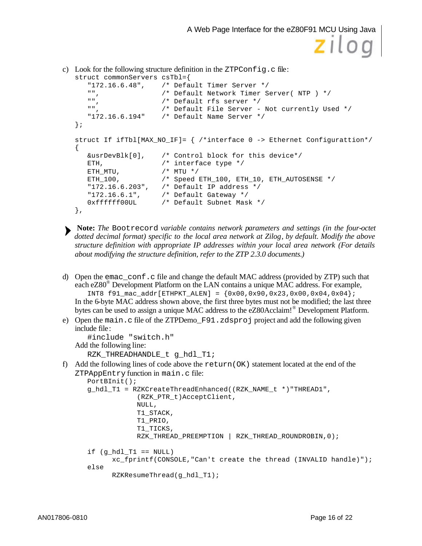```
c) Look for the following structure definition in the ZTPConfig.c file:
   struct commonServers csTbl={
       "172.16.6.48", /* Default Timer Server */
       "", \begin{array}{ccc} & \begin{array}{ccc} & \text{if} & \text{if} & \text{if} & \text{if} & \text{if} \\ \text{if} & \text{if} & \text{if} & \text{if} & \text{if} & \text{if} \\ \text{if} & \text{if} & \text{if} & \text{if} & \text{if} & \text{if} \end{array} \end{array}"", /* Default rfs server */
                            /* Default File Server - Not currently Used */
       "172.16.6.194" /* Default Name Server */
   };
   struct If ifTbl[MAX_NO_IF]= { /*interface 0 -> Ethernet Configurattion*/
   {
       &usrDevBlk[0], /* Control block for this device*/
       ETH, /* interface type */
       ETH_MTU, \frac{1}{2} /* MTU */
       ETH_100, /* Speed ETH_100, ETH_10, ETH_AUTOSENSE */
       "172.16.6.203", /* Default IP address */
       "172.16.6.1", /* Default Gateway */
       0xffffff00UL /* Default Subnet Mask */
   },
```
- **Note:** *The* Bootrecord *variable contains network parameters and settings (in the four-octet dotted decimal format) specific to the local area network at Zilog, by default. Modify the above structure definition with appropriate IP addresses within your local area network (For details about modifying the structure definition, refer to the ZTP 2.3.0 documents.)*
- d) Open the emac conf.c file and change the default MAC address (provided by ZTP) such that each eZ80<sup>®</sup> Development Platform on the LAN contains a unique MAC address. For example, INT8 f91\_mac\_addr[ETHPKT\_ALEN] = {0x00,0x90,0x23,0x00,0x04,0x04}; In the 6-byte MAC address shown above, the first three bytes must not be modified; the last three bytes can be used to assign a unique MAC address to the eZ80Acclaim!<sup>®</sup> Development Platform.
- e) Open the main.c file of the ZTPDemo $F91.zdsproj$  project and add the following given include file:

```
#include "switch.h" 
Add the following line:
   RZK THREADHANDLE t q hdl T1;
```
f) Add the following lines of code above the return (OK) statement located at the end of the ZTPAppEntry function in main.c file:

```
PortBInit();
g_hdl_T1 = RZKCreateThreadEnhanced((RZK_NAME_t *)"THREAD1", 
            (RZK_PTR_t)AcceptClient,
            NULL,
            T1_STACK,
            T1_PRIO,
            T1_TICKS,
            RZK_THREAD_PREEMPTION | RZK_THREAD_ROUNDROBIN,0);
if (g_hdl_T1 == NULL) xc_fprintf(CONSOLE,"Can't create the thread (INVALID handle)");
else
      RZKResumeThread(g_hdl_T1);
```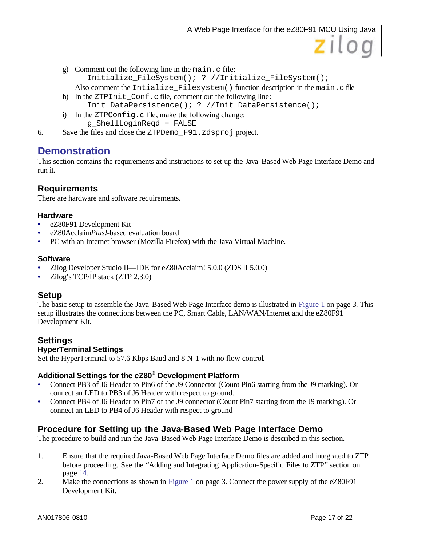g) Comment out the following line in the main.c file: Initialize\_FileSystem(); ? //Initialize\_FileSystem();

Also comment the Intialize\_Filesystem() function description in the main.c file

h) In the ZTPInit Conf.c file, comment out the following line:

Init\_DataPersistence(); ? //Init\_DataPersistence();

- i) In the ZTPConfig.c file, make the following change: g\_ShellLoginReqd = FALSE
- 6. Save the files and close the ZTPDemo\_F91.zdsproj project.

## **Demonstration**

This section contains the requirements and instructions to set up the Java-Based Web Page Interface Demo and run it.

#### **Requirements**

There are hardware and software requirements.

#### **Hardware**

- eZ80F91 Development Kit
- eZ80Accla im*Plus!*-based evaluation board
- PC with an Internet browser (Mozilla Firefox) with the Java Virtual Machine.

#### **Software**

- Zilog Developer Studio II—IDE for eZ80Acclaim! 5.0.0 (ZDS II 5.0.0)
- Zilog's TCP/IP stack (ZTP 2.3.0)

#### **Setup**

The basic setup to assemble the Java-Based Web Page Interface demo is illustrated in Figure 1 on page 3. This setup illustrates the connections between the PC, Smart Cable, LAN/WAN/Internet and the eZ80F91 Development Kit.

#### **Settings HyperTerminal Settings**

Set the HyperTerminal to 57.6 Kbps Baud and 8-N-1 with no flow control.

#### **Additional Settings for the eZ80® Development Platform**

- Connect PB3 of J6 Header to Pin6 of the J9 Connector (Count Pin6 starting from the J9 marking). Or connect an LED to PB3 of J6 Header with respect to ground.
- Connect PB4 of J6 Header to Pin7 of the J9 connector (Count Pin7 starting from the J9 marking). Or connect an LED to PB4 of J6 Header with respect to ground

#### **Procedure for Setting up the Java-Based Web Page Interface Demo**

The procedure to build and run the Java-Based Web Page Interface Demo is described in this section.

- 1. Ensure that the required Java-Based Web Page Interface Demo files are added and integrated to ZTP before proceeding. See the "Adding and Integrating Application-Specific Files to ZTP" section on page 14.
- 2. Make the connections as shown in Figure 1 on page 3. Connect the power supply of the eZ80F91 Development Kit.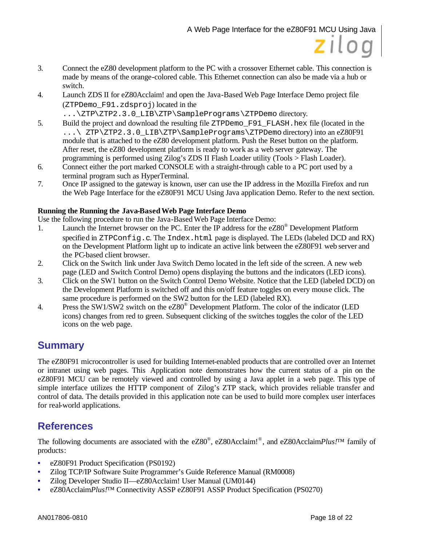- 3. Connect the eZ80 development platform to the PC with a crossover Ethernet cable. This connection is made by means of the orange-colored cable. This Ethernet connection can also be made via a hub or switch.
- 4. Launch ZDS II for eZ80Acclaim! and open the Java-Based Web Page Interface Demo project file (ZTPDemo\_F91.zdsproj) located in the
	- ...\ZTP\ZTP2.3.0\_LIB\ZTP\SamplePrograms\ZTPDemo directory.
- 5. Build the project and download the resulting file ZTPDemo\_F91\_FLASH.hex file (located in the ...\ ZTP\ZTP2.3.0 LIB\ZTP\SamplePrograms\ZTPDemo directory) into an eZ80F91 module that is attached to the eZ80 development platform. Push the Reset button on the platform. After reset, the eZ80 development platform is ready to work as a web server gateway. The programming is performed using Zilog's ZDS II Flash Loader utility (Tools > Flash Loader).
- 6. Connect either the port marked CONSOLE with a straight-through cable to a PC port used by a terminal program such as HyperTerminal.
- 7. Once IP assigned to the gateway is known, user can use the IP address in the Mozilla Firefox and run the Web Page Interface for the eZ80F91 MCU Using Java application Demo. Refer to the next section.

#### **Running the Running the Java-Based Web Page Interface Demo**

Use the following procedure to run the Java-Based Web Page Interface Demo:

- 1. Launch the Internet browser on the PC. Enter the IP address for the eZ80® Development Platform specified in ZTPConfig.c. The Index.html page is displayed. The LEDs (labeled DCD and RX) on the Development Platform light up to indicate an active link between the eZ80F91 web server and the PC-based client browser.
- 2. Click on the Switch link under Java Switch Demo located in the left side of the screen. A new web page (LED and Switch Control Demo) opens displaying the buttons and the indicators (LED icons).
- 3. Click on the SW1 button on the Switch Control Demo Website. Notice that the LED (labeled DCD) on the Development Platform is switched off and this on/off feature toggles on every mouse click. The same procedure is performed on the SW2 button for the LED (labeled RX).
- 4. Press the SW1/SW2 switch on the eZ80<sup>®</sup> Development Platform. The color of the indicator (LED icons) changes from red to green. Subsequent clicking of the switches toggles the color of the LED icons on the web page.

## **Summary**

The eZ80F91 microcontroller is used for building Internet-enabled products that are controlled over an Internet or intranet using web pages. This Application note demonstrates how the current status of a pin on the eZ80F91 MCU can be remotely viewed and controlled by using a Java applet in a web page. This type of simple interface utilizes the HTTP component of Zilog's ZTP stack, which provides reliable transfer and control of data. The details provided in this application note can be used to build more complex user interfaces for real-world applications.

## **References**

The following documents are associated with the eZ80<sup>®</sup>, eZ80Acclaim!<sup>®</sup>, and eZ80Acclaim*Plus!*™ family of products:

- eZ80F91 Product Specification (PS0192)
- Zilog TCP/IP Software Suite Programmer's Guide Reference Manual (RM0008)
- Zilog Developer Studio II—eZ80Acclaim! User Manual (UM0144)
- eZ80Acclaim*Plus!*™ Connectivity ASSP eZ80F91 ASSP Product Specification (PS0270)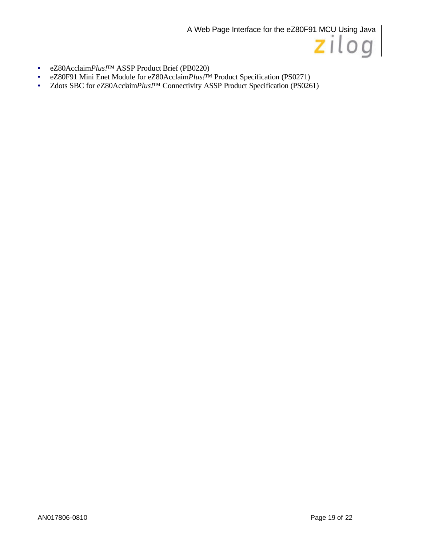

- eZ80Acclaim*Plus!*™ ASSP Product Brief (PB0220)
- eZ80F91 Mini Enet Module for eZ80Acclaim*Plus!*™ Product Specification (PS0271)
- Zdots SBC for eZ80Acclaim*Plus*!<sup>TM</sup> Connectivity ASSP Product Specification (PS0261)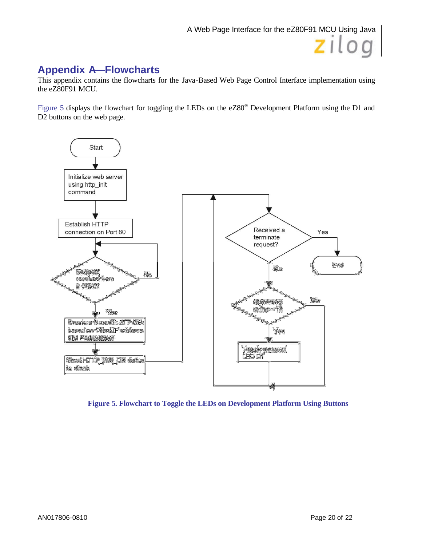## **Appendix A—Flowcharts**

This appendix contains the flowcharts for the Java-Based Web Page Control Interface implementation using the eZ80F91 MCU.

Figure 5 displays the flowchart for toggling the LEDs on the  $eZ80^\circ$  Development Platform using the D1 and D2 buttons on the web page.



**Figure 5. Flowchart to Toggle the LEDs on Development Platform Using Buttons**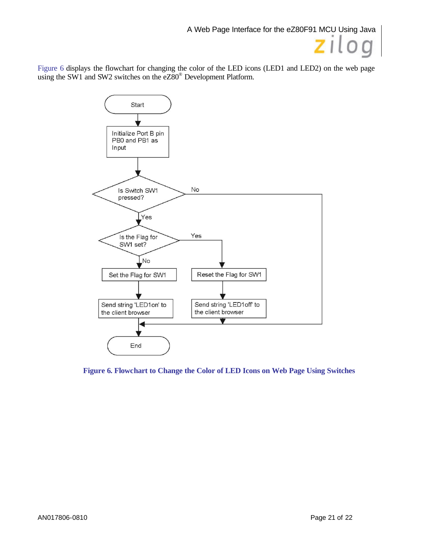Figure 6 displays the flowchart for changing the color of the LED icons (LED1 and LED2) on the web page using the SW1 and SW2 switches on the eZ80<sup>®</sup> Development Platform.



**Figure 6. Flowchart to Change the Color of LED Icons on Web Page Using Switches**